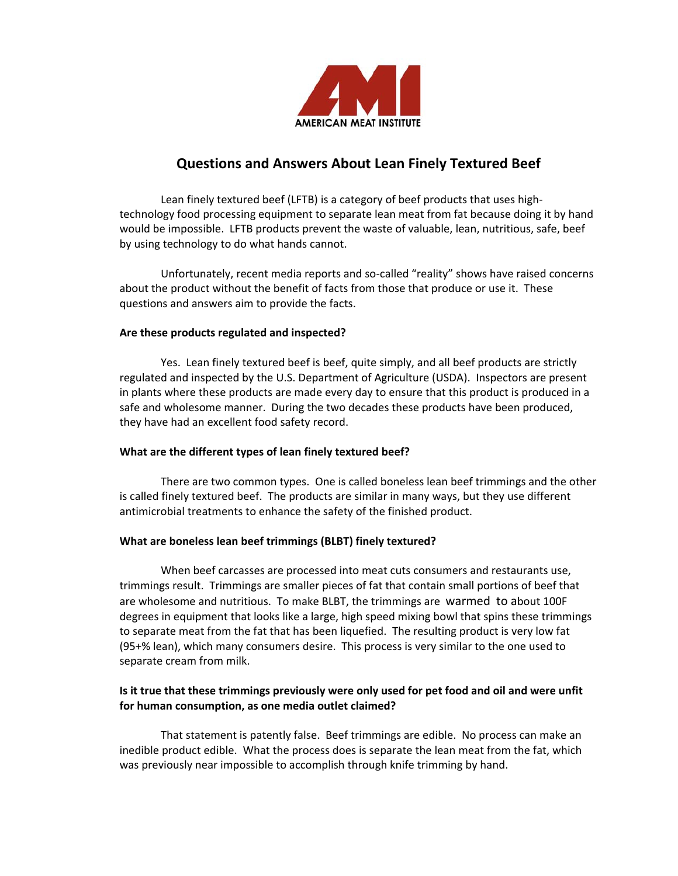

# **Questions and Answers About Lean Finely Textured Beef**

 Lean finely textured beef (LFTB) is a category of beef products that uses high‐ technology food processing equipment to separate lean meat from fat because doing it by hand would be impossible. LFTB products prevent the waste of valuable, lean, nutritious, safe, beef by using technology to do what hands cannot.

 Unfortunately, recent media reports and so‐called "reality" shows have raised concerns about the product without the benefit of facts from those that produce or use it. These questions and answers aim to provide the facts.

## **Are these products regulated and inspected?**

 Yes. Lean finely textured beef is beef, quite simply, and all beef products are strictly regulated and inspected by the U.S. Department of Agriculture (USDA). Inspectors are present in plants where these products are made every day to ensure that this product is produced in a safe and wholesome manner. During the two decades these products have been produced, they have had an excellent food safety record.

## **What are the different types of lean finely textured beef?**

 There are two common types. One is called boneless lean beef trimmings and the other is called finely textured beef. The products are similar in many ways, but they use different antimicrobial treatments to enhance the safety of the finished product.

## **What are boneless lean beef trimmings (BLBT) finely textured?**

 When beef carcasses are processed into meat cuts consumers and restaurants use, trimmings result. Trimmings are smaller pieces of fat that contain small portions of beef that are wholesome and nutritious. To make BLBT, the trimmings are warmed to about 100F degrees in equipment that looks like a large, high speed mixing bowl that spins these trimmings to separate meat from the fat that has been liquefied. The resulting product is very low fat (95+% lean), which many consumers desire. This process is very similar to the one used to separate cream from milk.

## **Is it true that these trimmings previously were only used for pet food and oil and were unfit for human consumption, as one media outlet claimed?**

 That statement is patently false. Beef trimmings are edible. No process can make an inedible product edible. What the process does is separate the lean meat from the fat, which was previously near impossible to accomplish through knife trimming by hand.